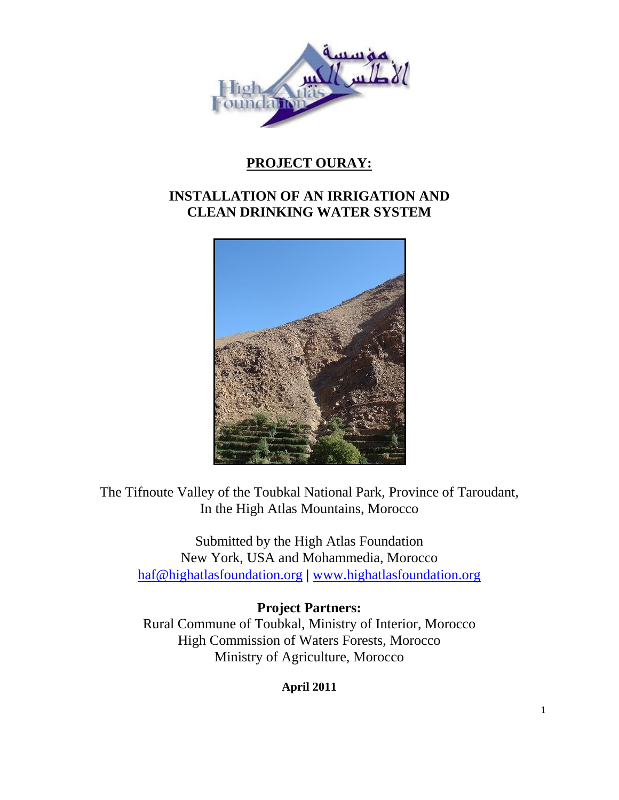

# **PROJECT OURAY:**

# **INSTALLATION OF AN IRRIGATION AND CLEAN DRINKING WATER SYSTEM**



The Tifnoute Valley of the Toubkal National Park, Province of Taroudant, In the High Atlas Mountains, Morocco

Submitted by the High Atlas Foundation New York, USA and Mohammedia, Morocco [haf@highatlasfoundation.org](mailto:haf@highatlasfoundation.org) **|** [www.highatlasfoundation.org](http://www.highatlasfoundation.org/)

**Project Partners:** Rural Commune of Toubkal, Ministry of Interior, Morocco High Commission of Waters Forests, Morocco Ministry of Agriculture, Morocco

**April 2011**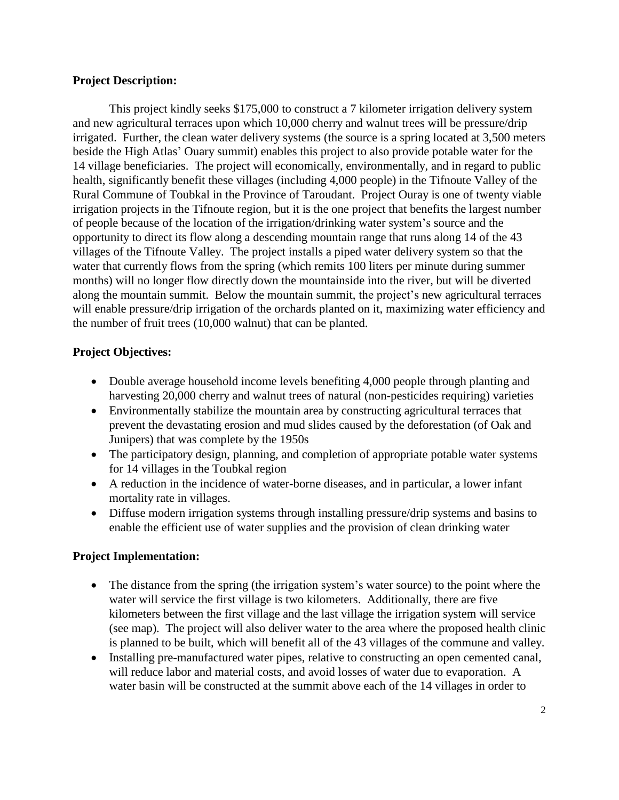# **Project Description:**

This project kindly seeks \$175,000 to construct a 7 kilometer irrigation delivery system and new agricultural terraces upon which 10,000 cherry and walnut trees will be pressure/drip irrigated. Further, the clean water delivery systems (the source is a spring located at 3,500 meters beside the High Atlas' Ouary summit) enables this project to also provide potable water for the 14 village beneficiaries. The project will economically, environmentally, and in regard to public health, significantly benefit these villages (including 4,000 people) in the Tifnoute Valley of the Rural Commune of Toubkal in the Province of Taroudant. Project Ouray is one of twenty viable irrigation projects in the Tifnoute region, but it is the one project that benefits the largest number of people because of the location of the irrigation/drinking water system's source and the opportunity to direct its flow along a descending mountain range that runs along 14 of the 43 villages of the Tifnoute Valley. The project installs a piped water delivery system so that the water that currently flows from the spring (which remits 100 liters per minute during summer months) will no longer flow directly down the mountainside into the river, but will be diverted along the mountain summit. Below the mountain summit, the project's new agricultural terraces will enable pressure/drip irrigation of the orchards planted on it, maximizing water efficiency and the number of fruit trees (10,000 walnut) that can be planted.

# **Project Objectives:**

- Double average household income levels benefiting 4,000 people through planting and harvesting 20,000 cherry and walnut trees of natural (non-pesticides requiring) varieties
- Environmentally stabilize the mountain area by constructing agricultural terraces that prevent the devastating erosion and mud slides caused by the deforestation (of Oak and Junipers) that was complete by the 1950s
- The participatory design, planning, and completion of appropriate potable water systems for 14 villages in the Toubkal region
- A reduction in the incidence of water-borne diseases, and in particular, a lower infant mortality rate in villages.
- Diffuse modern irrigation systems through installing pressure/drip systems and basins to enable the efficient use of water supplies and the provision of clean drinking water

### **Project Implementation:**

- The distance from the spring (the irrigation system's water source) to the point where the water will service the first village is two kilometers. Additionally, there are five kilometers between the first village and the last village the irrigation system will service (see map). The project will also deliver water to the area where the proposed health clinic is planned to be built, which will benefit all of the 43 villages of the commune and valley.
- Installing pre-manufactured water pipes, relative to constructing an open cemented canal, will reduce labor and material costs, and avoid losses of water due to evaporation. A water basin will be constructed at the summit above each of the 14 villages in order to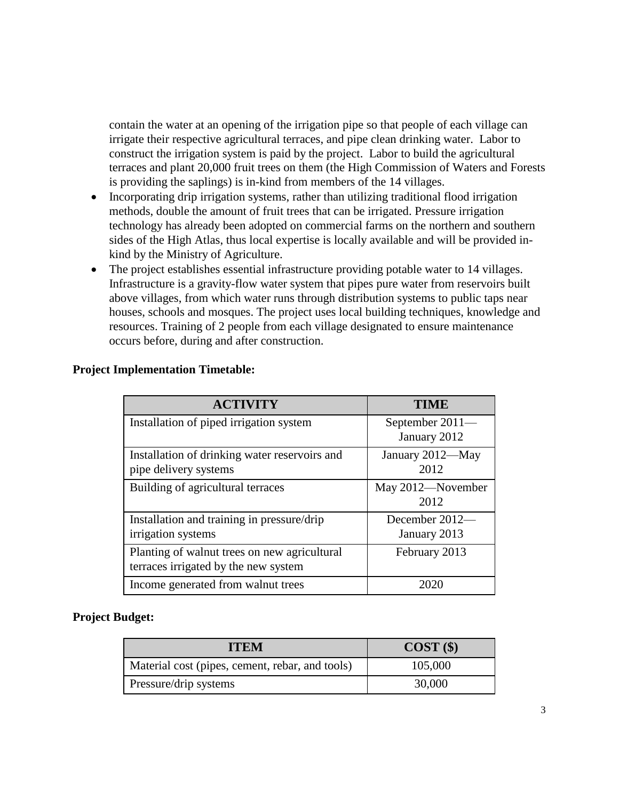contain the water at an opening of the irrigation pipe so that people of each village can irrigate their respective agricultural terraces, and pipe clean drinking water. Labor to construct the irrigation system is paid by the project. Labor to build the agricultural terraces and plant 20,000 fruit trees on them (the High Commission of Waters and Forests is providing the saplings) is in-kind from members of the 14 villages.

- Incorporating drip irrigation systems, rather than utilizing traditional flood irrigation methods, double the amount of fruit trees that can be irrigated. Pressure irrigation technology has already been adopted on commercial farms on the northern and southern sides of the High Atlas, thus local expertise is locally available and will be provided inkind by the Ministry of Agriculture.
- The project establishes essential infrastructure providing potable water to 14 villages. Infrastructure is a gravity-flow water system that pipes pure water from reservoirs built above villages, from which water runs through distribution systems to public taps near houses, schools and mosques. The project uses local building techniques, knowledge and resources. Training of 2 people from each village designated to ensure maintenance occurs before, during and after construction.

| <b>ACTIVITY</b>                                                                      | <b>TIME</b>                     |
|--------------------------------------------------------------------------------------|---------------------------------|
| Installation of piped irrigation system                                              | September 2011-<br>January 2012 |
| Installation of drinking water reservoirs and<br>pipe delivery systems               | January 2012-May<br>2012        |
| Building of agricultural terraces                                                    | May 2012—November<br>2012       |
| Installation and training in pressure/drip<br>irrigation systems                     | December 2012-<br>January 2013  |
| Planting of walnut trees on new agricultural<br>terraces irrigated by the new system | February 2013                   |
| Income generated from walnut trees                                                   | 2020                            |

# **Project Implementation Timetable:**

### **Project Budget:**

| <b>ITEM</b>                                     | COST(S) |
|-------------------------------------------------|---------|
| Material cost (pipes, cement, rebar, and tools) | 105,000 |
| Pressure/drip systems                           | 30,000  |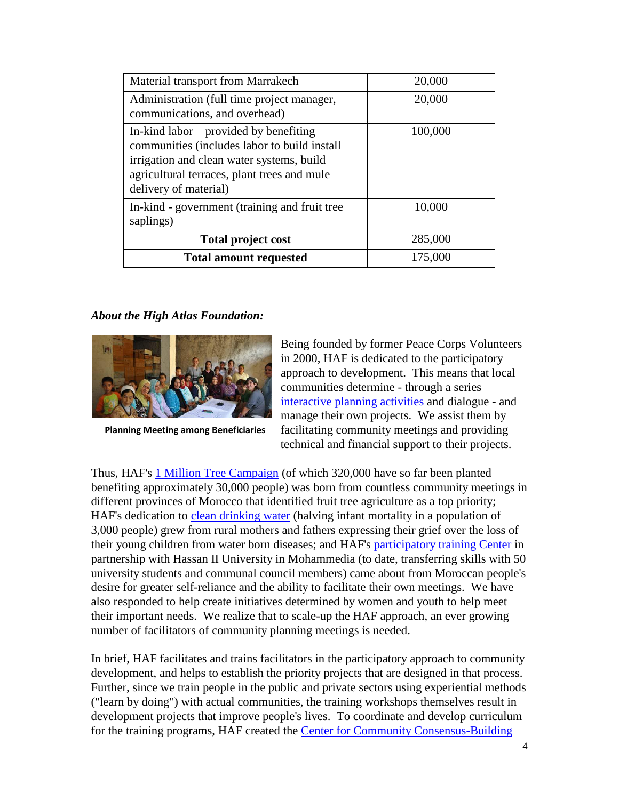| Material transport from Marrakech                                                                                                                                                                             | 20,000  |
|---------------------------------------------------------------------------------------------------------------------------------------------------------------------------------------------------------------|---------|
| Administration (full time project manager,<br>communications, and overhead)                                                                                                                                   | 20,000  |
| In-kind labor $-$ provided by benefiting<br>communities (includes labor to build install<br>irrigation and clean water systems, build<br>agricultural terraces, plant trees and mule<br>delivery of material) | 100,000 |
| In-kind - government (training and fruit tree<br>saplings)                                                                                                                                                    | 10,000  |
| <b>Total project cost</b>                                                                                                                                                                                     | 285,000 |
| <b>Total amount requested</b>                                                                                                                                                                                 | 175,000 |

# *About the High Atlas Foundation:*



**Planning Meeting among Beneficiaries**

Being founded by former Peace Corps Volunteers in 2000, HAF is dedicated to the participatory approach to development. This means that local communities determine - through a series [interactive planning activities](https://www.highatlasfoundation.org/training-center) and dialogue - and manage their own projects. We assist them by facilitating community meetings and providing technical and financial support to their projects.

Thus, HAF's [1 Million Tree Campaign](https://www.highatlasfoundation.org/projects/fruit-tree-agriculture) (of which 320,000 have so far been planted benefiting approximately 30,000 people) was born from countless community meetings in different provinces of Morocco that identified fruit tree agriculture as a top priority; HAF's dedication to [clean drinking water](https://www.highatlasfoundation.org/projects/clean-drinking-water) (halving infant mortality in a population of 3,000 people) grew from rural mothers and fathers expressing their grief over the loss of their young children from water born diseases; and HAF's [participatory training Center](https://www.highatlasfoundation.org/content/training) in partnership with Hassan II University in Mohammedia (to date, transferring skills with 50 university students and communal council members) came about from Moroccan people's desire for greater self-reliance and the ability to facilitate their own meetings. We have also responded to help create initiatives determined by women and youth to help meet their important needs. We realize that to scale-up the HAF approach, an ever growing number of facilitators of community planning meetings is needed.

In brief, HAF facilitates and trains facilitators in the participatory approach to community development, and helps to establish the priority projects that are designed in that process. Further, since we train people in the public and private sectors using experiential methods ("learn by doing") with actual communities, the training workshops themselves result in development projects that improve people's lives. To coordinate and develop curriculum for the training programs, HAF created the [Center for Community Consensus-Building](https://www.highatlasfoundation.org/content/training)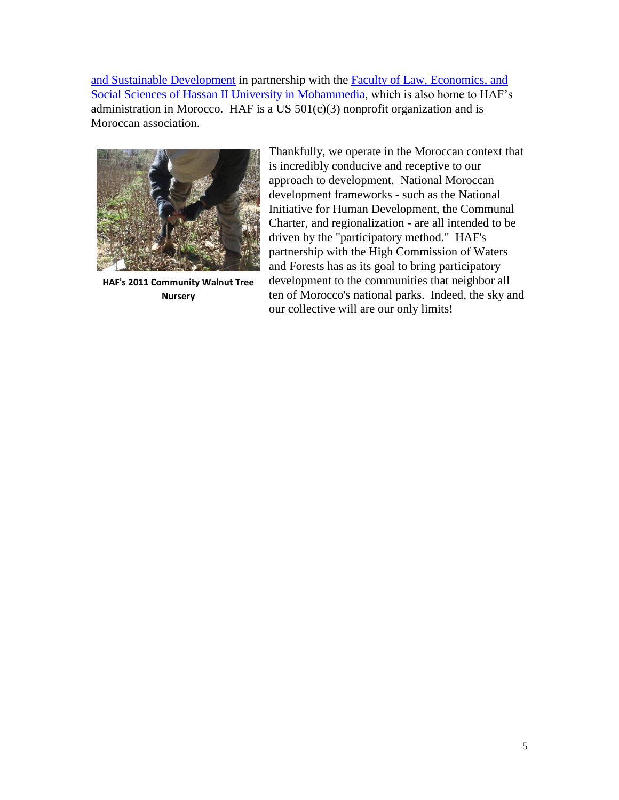and Sustainable Development in partnership with the [Faculty of Law, Economics, and](http://www.univh2m.ac.ma/eng/Institutions/SLESSMohammedia/tabid/358/Default.aspx)  [Social Sciences of Hassan II University in Mohammedia,](http://www.univh2m.ac.ma/eng/Institutions/SLESSMohammedia/tabid/358/Default.aspx) which is also home to HAF's administration in Morocco. HAF is a US  $501(c)(3)$  nonprofit organization and is Moroccan association.



**HAF's 2011 Community Walnut Tree Nursery**

Thankfully, we operate in the Moroccan context that is incredibly conducive and receptive to our approach to development. National Moroccan development frameworks - such as the National Initiative for Human Development, the Communal Charter, and regionalization - are all intended to be driven by the "participatory method." HAF's partnership with the High Commission of Waters and Forests has as its goal to bring participatory development to the communities that neighbor all ten of Morocco's national parks. Indeed, the sky and our collective will are our only limits!